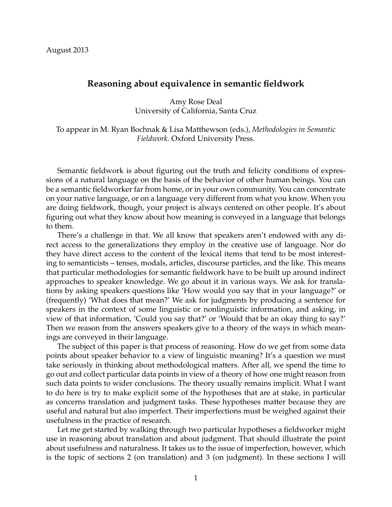# **Reasoning about equivalence in semantic fieldwork**

Amy Rose Deal University of California, Santa Cruz

To appear in M. Ryan Bochnak & Lisa Matthewson (eds.), *Methodologies in Semantic Fieldwork*. Oxford University Press.

Semantic fieldwork is about figuring out the truth and felicity conditions of expressions of a natural language on the basis of the behavior of other human beings. You can be a semantic fieldworker far from home, or in your own community. You can concentrate on your native language, or on a language very different from what you know. When you are doing fieldwork, though, your project is always centered on other people. It's about figuring out what they know about how meaning is conveyed in a language that belongs to them.

There's a challenge in that. We all know that speakers aren't endowed with any direct access to the generalizations they employ in the creative use of language. Nor do they have direct access to the content of the lexical items that tend to be most interesting to semanticists – tenses, modals, articles, discourse particles, and the like. This means that particular methodologies for semantic fieldwork have to be built up around indirect approaches to speaker knowledge. We go about it in various ways. We ask for translations by asking speakers questions like 'How would you say that in your language?' or (frequently) 'What does that mean?' We ask for judgments by producing a sentence for speakers in the context of some linguistic or nonlinguistic information, and asking, in view of that information, 'Could you say that?' or 'Would that be an okay thing to say?' Then we reason from the answers speakers give to a theory of the ways in which meanings are conveyed in their language.

The subject of this paper is that process of reasoning. How do we get from some data points about speaker behavior to a view of linguistic meaning? It's a question we must take seriously in thinking about methodological matters. After all, we spend the time to go out and collect particular data points in view of a theory of how one might reason from such data points to wider conclusions. The theory usually remains implicit. What I want to do here is try to make explicit some of the hypotheses that are at stake, in particular as concerns translation and judgment tasks. These hypotheses matter because they are useful and natural but also imperfect. Their imperfections must be weighed against their usefulness in the practice of research.

Let me get started by walking through two particular hypotheses a fieldworker might use in reasoning about translation and about judgment. That should illustrate the point about usefulness and naturalness. It takes us to the issue of imperfection, however, which is the topic of sections 2 (on translation) and 3 (on judgment). In these sections I will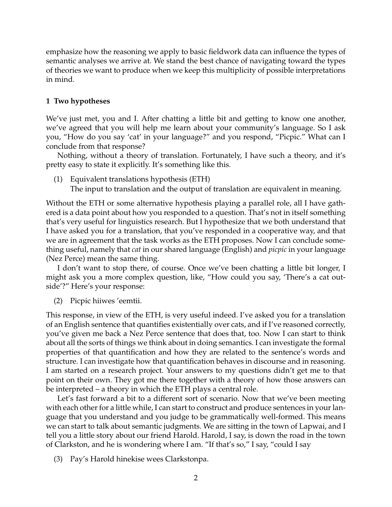emphasize how the reasoning we apply to basic fieldwork data can influence the types of semantic analyses we arrive at. We stand the best chance of navigating toward the types of theories we want to produce when we keep this multiplicity of possible interpretations in mind.

# **1 Two hypotheses**

We've just met, you and I. After chatting a little bit and getting to know one another, we've agreed that you will help me learn about your community's language. So I ask you, "How do you say 'cat' in your language?" and you respond, "Picpic." What can I conclude from that response?

Nothing, without a theory of translation. Fortunately, I have such a theory, and it's pretty easy to state it explicitly. It's something like this.

(1) Equivalent translations hypothesis (ETH) The input to translation and the output of translation are equivalent in meaning.

Without the ETH or some alternative hypothesis playing a parallel role, all I have gathered is a data point about how you responded to a question. That's not in itself something that's very useful for linguistics research. But I hypothesize that we both understand that I have asked you for a translation, that you've responded in a cooperative way, and that we are in agreement that the task works as the ETH proposes. Now I can conclude something useful, namely that *cat* in our shared language (English) and *picpic* in your language (Nez Perce) mean the same thing.

I don't want to stop there, of course. Once we've been chatting a little bit longer, I might ask you a more complex question, like, "How could you say, 'There's a cat outside'?" Here's your response:

(2) Picpic hiiwes 'eemtii.

This response, in view of the ETH, is very useful indeed. I've asked you for a translation of an English sentence that quantifies existentially over cats, and if I've reasoned correctly, you've given me back a Nez Perce sentence that does that, too. Now I can start to think about all the sorts of things we think about in doing semantics. I can investigate the formal properties of that quantification and how they are related to the sentence's words and structure. I can investigate how that quantification behaves in discourse and in reasoning. I am started on a research project. Your answers to my questions didn't get me to that point on their own. They got me there together with a theory of how those answers can be interpreted – a theory in which the ETH plays a central role.

Let's fast forward a bit to a different sort of scenario. Now that we've been meeting with each other for a little while, I can start to construct and produce sentences in your language that you understand and you judge to be grammatically well-formed. This means we can start to talk about semantic judgments. We are sitting in the town of Lapwai, and I tell you a little story about our friend Harold. Harold, I say, is down the road in the town of Clarkston, and he is wondering where I am. "If that's so," I say, "could I say

(3) Pay's Harold hinekise wees Clarkstonpa.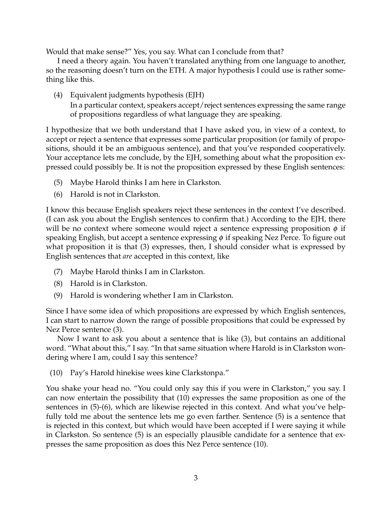Would that make sense?" Yes, you say. What can I conclude from that?

I need a theory again. You haven't translated anything from one language to another, so the reasoning doesn't turn on the ETH. A major hypothesis I could use is rather something like this.

(4) Equivalent judgments hypothesis (EJH) In a particular context, speakers accept/reject sentences expressing the same range of propositions regardless of what language they are speaking.

I hypothesize that we both understand that I have asked you, in view of a context, to accept or reject a sentence that expresses some particular proposition (or family of propositions, should it be an ambiguous sentence), and that you've responded cooperatively. Your acceptance lets me conclude, by the EJH, something about what the proposition expressed could possibly be. It is not the proposition expressed by these English sentences:

- (5) Maybe Harold thinks I am here in Clarkston.
- (6) Harold is not in Clarkston.

I know this because English speakers reject these sentences in the context I've described. (I can ask you about the English sentences to confirm that.) According to the EJH, there will be no context where someone would reject a sentence expressing proposition  $\phi$  if speaking English, but accept a sentence expressing  $\phi$  if speaking Nez Perce. To figure out what proposition it is that (3) expresses, then, I should consider what is expressed by English sentences that *are* accepted in this context, like

- (7) Maybe Harold thinks I am in Clarkston.
- (8) Harold is in Clarkston.
- (9) Harold is wondering whether I am in Clarkston.

Since I have some idea of which propositions are expressed by which English sentences, I can start to narrow down the range of possible propositions that could be expressed by Nez Perce sentence (3).

Now I want to ask you about a sentence that is like (3), but contains an additional word. "What about this," I say. "In that same situation where Harold is in Clarkston wondering where I am, could I say this sentence?

(10) Pay's Harold hinekise wees kine Clarkstonpa."

You shake your head no. "You could only say this if you were in Clarkston," you say. I can now entertain the possibility that (10) expresses the same proposition as one of the sentences in (5)-(6), which are likewise rejected in this context. And what you've helpfully told me about the sentence lets me go even farther. Sentence (5) is a sentence that is rejected in this context, but which would have been accepted if I were saying it while in Clarkston. So sentence (5) is an especially plausible candidate for a sentence that expresses the same proposition as does this Nez Perce sentence (10).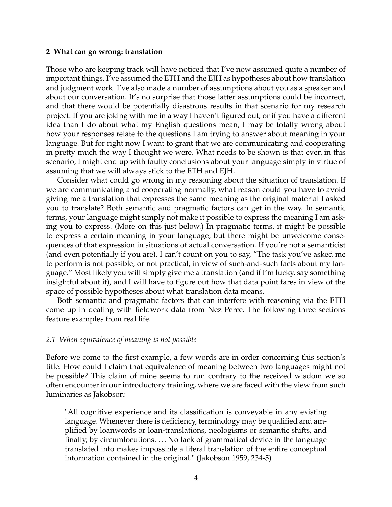#### **2 What can go wrong: translation**

Those who are keeping track will have noticed that I've now assumed quite a number of important things. I've assumed the ETH and the EJH as hypotheses about how translation and judgment work. I've also made a number of assumptions about you as a speaker and about our conversation. It's no surprise that those latter assumptions could be incorrect, and that there would be potentially disastrous results in that scenario for my research project. If you are joking with me in a way I haven't figured out, or if you have a different idea than I do about what my English questions mean, I may be totally wrong about how your responses relate to the questions I am trying to answer about meaning in your language. But for right now I want to grant that we are communicating and cooperating in pretty much the way I thought we were. What needs to be shown is that even in this scenario, I might end up with faulty conclusions about your language simply in virtue of assuming that we will always stick to the ETH and EJH.

Consider what could go wrong in my reasoning about the situation of translation. If we are communicating and cooperating normally, what reason could you have to avoid giving me a translation that expresses the same meaning as the original material I asked you to translate? Both semantic and pragmatic factors can get in the way. In semantic terms, your language might simply not make it possible to express the meaning I am asking you to express. (More on this just below.) In pragmatic terms, it might be possible to express a certain meaning in your language, but there might be unwelcome consequences of that expression in situations of actual conversation. If you're not a semanticist (and even potentially if you are), I can't count on you to say, "The task you've asked me to perform is not possible, or not practical, in view of such-and-such facts about my language." Most likely you will simply give me a translation (and if I'm lucky, say something insightful about it), and I will have to figure out how that data point fares in view of the space of possible hypotheses about what translation data means.

Both semantic and pragmatic factors that can interfere with reasoning via the ETH come up in dealing with fieldwork data from Nez Perce. The following three sections feature examples from real life.

#### *2.1 When equivalence of meaning is not possible*

Before we come to the first example, a few words are in order concerning this section's title. How could I claim that equivalence of meaning between two languages might not be possible? This claim of mine seems to run contrary to the received wisdom we so often encounter in our introductory training, where we are faced with the view from such luminaries as Jakobson:

"All cognitive experience and its classification is conveyable in any existing language. Whenever there is deficiency, terminology may be qualified and amplified by loanwords or loan-translations, neologisms or semantic shifts, and finally, by circumlocutions. . . . No lack of grammatical device in the language translated into makes impossible a literal translation of the entire conceptual information contained in the original." (Jakobson 1959, 234-5)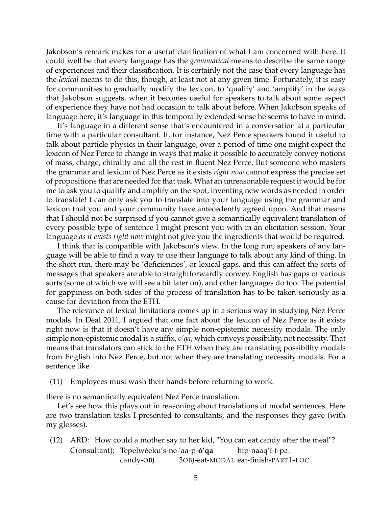Jakobson's remark makes for a useful clarification of what I am concerned with here. It could well be that every language has the *grammatical* means to describe the same range of experiences and their classification. It is certainly not the case that every language has the *lexical* means to do this, though, at least not at any given time. Fortunately, it is easy for communities to gradually modify the lexicon, to 'qualify' and 'amplify' in the ways that Jakobson suggests, when it becomes useful for speakers to talk about some aspect of experience they have not had occasion to talk about before. When Jakobson speaks of language here, it's language in this temporally extended sense he seems to have in mind.

It's language in a different sense that's encountered in a conversation at a particular time with a particular consultant. If, for instance, Nez Perce speakers found it useful to talk about particle physics in their language, over a period of time one might expect the lexicon of Nez Perce to change in ways that make it possible to accurately convey notions of mass, charge, chirality and all the rest in fluent Nez Perce. But someone who masters the grammar and lexicon of Nez Perce as it exists *right now* cannot express the precise set of propositions that are needed for that task. What an unreasonable request it would be for me to ask you to qualify and amplify on the spot, inventing new words as needed in order to translate! I can only ask you to translate into your language using the grammar and lexicon that you and your community have antecedently agreed upon. And that means that I should not be surprised if you cannot give a semantically equivalent translation of every possible type of sentence I might present you with in an elicitation session. Your language *as it exists right now* might not give you the ingredients that would be required.

I think that is compatible with Jakobson's view. In the long run, speakers of any language will be able to find a way to use their language to talk about any kind of thing. In the short run, there may be 'deficiencies', or lexical gaps, and this can affect the sorts of messages that speakers are able to straightforwardly convey. English has gaps of various sorts (some of which we will see a bit later on), and other languages do too. The potential for gappiness on both sides of the process of translation has to be taken seriously as a cause for deviation from the ETH.

The relevance of lexical limitations comes up in a serious way in studying Nez Perce modals. In Deal 2011, I argued that one fact about the lexicon of Nez Perce as it exists right now is that it doesn't have any simple non-epistemic necessity modals. The only simple non-epistemic modal is a suffix, *o'qa*, which conveys possibility, not necessity. That means that translators can stick to the ETH when they are translating possibility modals from English into Nez Perce, but not when they are translating necessity modals. For a sentence like

(11) Employees must wash their hands before returning to work.

there is no semantically equivalent Nez Perce translation.

Let's see how this plays out in reasoning about translations of modal sentences. Here are two translation tasks I presented to consultants, and the responses they gave (with my glosses).

(12) ARD: How could a mother say to her kid, "You can eat candy after the meal"? C(onsultant): Tepelwéeku's-ne 'aa-p-**ó'qa** candy-OBJ 3OBJ-eat-MODAL eat-finish-PART1-LOC hip-naaq'í-t-pa.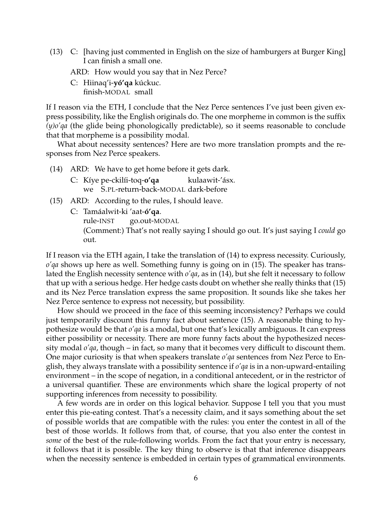- (13) C: [having just commented in English on the size of hamburgers at Burger King] I can finish a small one.
	- ARD: How would you say that in Nez Perce?
	- C: Hiinaq'i-**yó'qa** kúckuc. finish-MODAL small

If I reason via the ETH, I conclude that the Nez Perce sentences I've just been given express possibility, like the English originals do. The one morpheme in common is the suffix *(y)o'qa* (the glide being phonologically predictable), so it seems reasonable to conclude that that morpheme is a possibility modal.

What about necessity sentences? Here are two more translation prompts and the responses from Nez Perce speakers.

- (14) ARD: We have to get home before it gets dark.
	- C: Kíye pe-ckilíi-toq-**o'qa** we S.PL-return-back-MODAL dark-before kulaawit-'ásx.
- (15) ARD: According to the rules, I should leave.
	- C: Tamáalwit-ki 'aat-**ó'qa**.

rule-INST go.out-MODAL

(Comment:) That's not really saying I should go out. It's just saying I *could* go out.

If I reason via the ETH again, I take the translation of (14) to express necessity. Curiously, *o'qa* shows up here as well. Something funny is going on in (15). The speaker has translated the English necessity sentence with *o'qa*, as in (14), but she felt it necessary to follow that up with a serious hedge. Her hedge casts doubt on whether she really thinks that (15) and its Nez Perce translation express the same proposition. It sounds like she takes her Nez Perce sentence to express not necessity, but possibility.

How should we proceed in the face of this seeming inconsistency? Perhaps we could just temporarily discount this funny fact about sentence (15). A reasonable thing to hypothesize would be that *o'qa* is a modal, but one that's lexically ambiguous. It can express either possibility or necessity. There are more funny facts about the hypothesized necessity modal *o'qa*, though – in fact, so many that it becomes very difficult to discount them. One major curiosity is that when speakers translate *o'qa* sentences from Nez Perce to English, they always translate with a possibility sentence if *o'qa* is in a non-upward-entailing environment – in the scope of negation, in a conditional antecedent, or in the restrictor of a universal quantifier. These are environments which share the logical property of not supporting inferences from necessity to possibility.

A few words are in order on this logical behavior. Suppose I tell you that you must enter this pie-eating contest. That's a necessity claim, and it says something about the set of possible worlds that are compatible with the rules: you enter the contest in all of the best of those worlds. It follows from that, of course, that you also enter the contest in *some* of the best of the rule-following worlds. From the fact that your entry is necessary, it follows that it is possible. The key thing to observe is that that inference disappears when the necessity sentence is embedded in certain types of grammatical environments.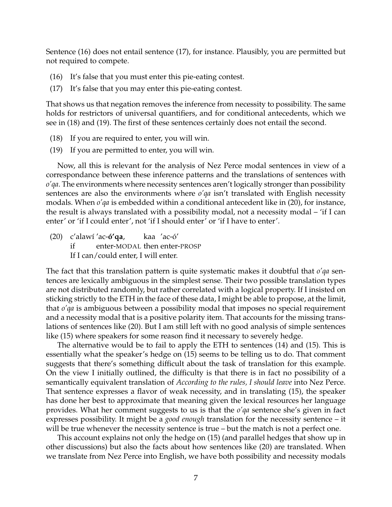Sentence (16) does not entail sentence (17), for instance. Plausibly, you are permitted but not required to compete.

- (16) It's false that you must enter this pie-eating contest.
- (17) It's false that you may enter this pie-eating contest.

That shows us that negation removes the inference from necessity to possibility. The same holds for restrictors of universal quantifiers, and for conditional antecedents, which we see in (18) and (19). The first of these sentences certainly does not entail the second.

- (18) If you are required to enter, you will win.
- (19) If you are permitted to enter, you will win.

Now, all this is relevant for the analysis of Nez Perce modal sentences in view of a correspondance between these inference patterns and the translations of sentences with *o'qa*. The environments where necessity sentences aren't logically stronger than possibility sentences are also the environments where *o'qa* isn't translated with English necessity modals. When *o'qa* is embedded within a conditional antecedent like in (20), for instance, the result is always translated with a possibility modal, not a necessity modal – 'if I can enter' or 'if I could enter', not 'if I should enter' or 'if I have to enter'.

(20) c'alawí 'ac-**ó'qa**, if enter-MODAL then enter-PROSP kaa 'ac-ó' If I can/could enter, I will enter.

The fact that this translation pattern is quite systematic makes it doubtful that *o'qa* sentences are lexically ambiguous in the simplest sense. Their two possible translation types are not distributed randomly, but rather correlated with a logical property. If I insisted on sticking strictly to the ETH in the face of these data, I might be able to propose, at the limit, that *o'qa* is ambiguous between a possibility modal that imposes no special requirement and a necessity modal that is a positive polarity item. That accounts for the missing translations of sentences like (20). But I am still left with no good analysis of simple sentences like (15) where speakers for some reason find it necessary to severely hedge.

The alternative would be to fail to apply the ETH to sentences (14) and (15). This is essentially what the speaker's hedge on (15) seems to be telling us to do. That comment suggests that there's something difficult about the task of translation for this example. On the view I initially outlined, the difficulty is that there is in fact no possibility of a semantically equivalent translation of *According to the rules, I should leave* into Nez Perce. That sentence expresses a flavor of weak necessity, and in translating (15), the speaker has done her best to approximate that meaning given the lexical resources her language provides. What her comment suggests to us is that the *o'qa* sentence she's given in fact expresses possibility. It might be a *good enough* translation for the necessity sentence – it will be true whenever the necessity sentence is true – but the match is not a perfect one.

This account explains not only the hedge on (15) (and parallel hedges that show up in other discussions) but also the facts about how sentences like (20) are translated. When we translate from Nez Perce into English, we have both possibility and necessity modals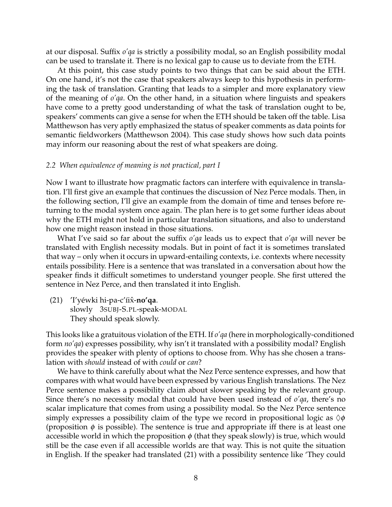at our disposal. Suffix *o'qa* is strictly a possibility modal, so an English possibility modal can be used to translate it. There is no lexical gap to cause us to deviate from the ETH.

At this point, this case study points to two things that can be said about the ETH. On one hand, it's not the case that speakers always keep to this hypothesis in performing the task of translation. Granting that leads to a simpler and more explanatory view of the meaning of *o'qa*. On the other hand, in a situation where linguists and speakers have come to a pretty good understanding of what the task of translation ought to be, speakers' comments can give a sense for when the ETH should be taken off the table. Lisa Matthewson has very aptly emphasized the status of speaker comments as data points for semantic fieldworkers (Matthewson 2004). This case study shows how such data points may inform our reasoning about the rest of what speakers are doing.

### *2.2 When equivalence of meaning is not practical, part I*

Now I want to illustrate how pragmatic factors can interfere with equivalence in translation. I'll first give an example that continues the discussion of Nez Perce modals. Then, in the following section, I'll give an example from the domain of time and tenses before returning to the modal system once again. The plan here is to get some further ideas about why the ETH might not hold in particular translation situations, and also to understand how one might reason instead in those situations.

What I've said so far about the suffix *o'qa* leads us to expect that *o'qa* will never be translated with English necessity modals. But in point of fact it is sometimes translated that way – only when it occurs in upward-entailing contexts, i.e. contexts where necessity entails possibility. Here is a sentence that was translated in a conversation about how the speaker finds it difficult sometimes to understand younger people. She first uttered the sentence in Nez Perce, and then translated it into English.

(21) ′I′yéwki hi-pa-c′íix̂-**no′qa**. slowly 3SUBJ-S.PL-speak-MODAL They should speak slowly.

This looks like a gratuitous violation of the ETH. If *o'qa* (here in morphologically-conditioned form *no'qa*) expresses possibility, why isn't it translated with a possibility modal? English provides the speaker with plenty of options to choose from. Why has she chosen a translation with *should* instead of with *could* or *can*?

We have to think carefully about what the Nez Perce sentence expresses, and how that compares with what would have been expressed by various English translations. The Nez Perce sentence makes a possibility claim about slower speaking by the relevant group. Since there's no necessity modal that could have been used instead of *o'qa*, there's no scalar implicature that comes from using a possibility modal. So the Nez Perce sentence simply expresses a possibility claim of the type we record in propositional logic as  $\Diamond \phi$ (proposition  $\phi$  is possible). The sentence is true and appropriate iff there is at least one accessible world in which the proposition  $\phi$  (that they speak slowly) is true, which would still be the case even if all accessible worlds are that way. This is not quite the situation in English. If the speaker had translated (21) with a possibility sentence like 'They could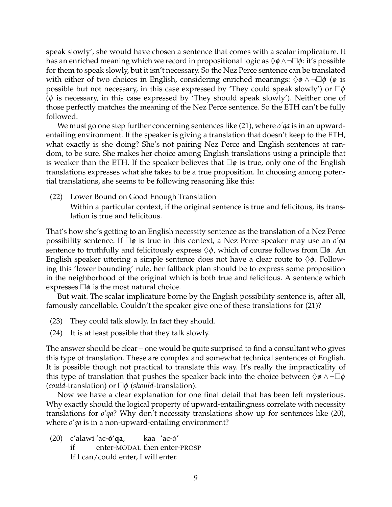speak slowly', she would have chosen a sentence that comes with a scalar implicature. It has an enriched meaning which we record in propositional logic as  $\Diamond \phi \land \neg \Box \phi$ : it's possible for them to speak slowly, but it isn't necessary. So the Nez Perce sentence can be translated with either of two choices in English, considering enriched meanings:  $\Diamond \phi \land \neg \Box \phi$  ( $\phi$  is possible but not necessary, in this case expressed by 'They could speak slowly') or  $\Box \phi$  $(\phi$  is necessary, in this case expressed by 'They should speak slowly'). Neither one of those perfectly matches the meaning of the Nez Perce sentence. So the ETH can't be fully followed.

We must go one step further concerning sentences like (21), where *o'qa* is in an upwardentailing environment. If the speaker is giving a translation that doesn't keep to the ETH, what exactly is she doing? She's not pairing Nez Perce and English sentences at random, to be sure. She makes her choice among English translations using a principle that is weaker than the ETH. If the speaker believes that  $\Box \phi$  is true, only one of the English translations expresses what she takes to be a true proposition. In choosing among potential translations, she seems to be following reasoning like this:

(22) Lower Bound on Good Enough Translation

Within a particular context, if the original sentence is true and felicitous, its translation is true and felicitous.

That's how she's getting to an English necessity sentence as the translation of a Nez Perce possibility sentence. If  $\Box \phi$  is true in this context, a Nez Perce speaker may use an  $o'qa$ sentence to truthfully and felicitously express  $\Diamond \phi$ , which of course follows from  $\Box \phi$ . An English speaker uttering a simple sentence does not have a clear route to  $\Diamond \phi$ . Following this 'lower bounding' rule, her fallback plan should be to express some proposition in the neighborhood of the original which is both true and felicitous. A sentence which expresses  $\Box \phi$  is the most natural choice.

But wait. The scalar implicature borne by the English possibility sentence is, after all, famously cancellable. Couldn't the speaker give one of these translations for (21)?

- (23) They could talk slowly. In fact they should.
- (24) It is at least possible that they talk slowly.

The answer should be clear – one would be quite surprised to find a consultant who gives this type of translation. These are complex and somewhat technical sentences of English. It is possible though not practical to translate this way. It's really the impracticality of this type of translation that pushes the speaker back into the choice between  $\Diamond \phi \land \neg \Box \phi$ (*could*-translation) or  $\Box \phi$  (*should*-translation).

Now we have a clear explanation for one final detail that has been left mysterious. Why exactly should the logical property of upward-entailingness correlate with necessity translations for *o'qa*? Why don't necessity translations show up for sentences like (20), where *o'qa* is in a non-upward-entailing environment?

(20) c'alawí 'ac-**ó'qa**, if enter-MODAL then enter-PROSP kaa 'ac-ó' If I can/could enter, I will enter.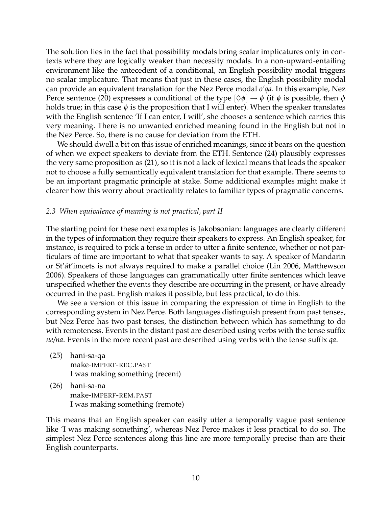The solution lies in the fact that possibility modals bring scalar implicatures only in contexts where they are logically weaker than necessity modals. In a non-upward-entailing environment like the antecedent of a conditional, an English possibility modal triggers no scalar implicature. That means that just in these cases, the English possibility modal can provide an equivalent translation for the Nez Perce modal *o'qa*. In this example, Nez Perce sentence (20) expresses a conditional of the type  $[\Diamond \phi] \rightarrow \phi$  (if  $\phi$  is possible, then  $\phi$ holds true; in this case  $\phi$  is the proposition that I will enter). When the speaker translates with the English sentence 'If I can enter, I will', she chooses a sentence which carries this very meaning. There is no unwanted enriched meaning found in the English but not in the Nez Perce. So, there is no cause for deviation from the ETH.

We should dwell a bit on this issue of enriched meanings, since it bears on the question of when we expect speakers to deviate from the ETH. Sentence (24) plausibly expresses the very same proposition as (21), so it is not a lack of lexical means that leads the speaker not to choose a fully semantically equivalent translation for that example. There seems to be an important pragmatic principle at stake. Some additional examples might make it clearer how this worry about practicality relates to familiar types of pragmatic concerns.

## *2.3 When equivalence of meaning is not practical, part II*

The starting point for these next examples is Jakobsonian: languages are clearly different in the types of information they require their speakers to express. An English speaker, for instance, is required to pick a tense in order to utter a finite sentence, whether or not particulars of time are important to what that speaker wants to say. A speaker of Mandarin or St'át'imcets is not always required to make a parallel choice (Lin 2006, Matthewson 2006). Speakers of those languages can grammatically utter finite sentences which leave unspecified whether the events they describe are occurring in the present, or have already occurred in the past. English makes it possible, but less practical, to do this.

We see a version of this issue in comparing the expression of time in English to the corresponding system in Nez Perce. Both languages distinguish present from past tenses, but Nez Perce has two past tenses, the distinction between which has something to do with remoteness. Events in the distant past are described using verbs with the tense suffix *ne/na*. Events in the more recent past are described using verbs with the tense suffix *qa*.

- (25) hani-sa-qa make-IMPERF-REC.PAST I was making something (recent)
- (26) hani-sa-na make-IMPERF-REM.PAST I was making something (remote)

This means that an English speaker can easily utter a temporally vague past sentence like 'I was making something', whereas Nez Perce makes it less practical to do so. The simplest Nez Perce sentences along this line are more temporally precise than are their English counterparts.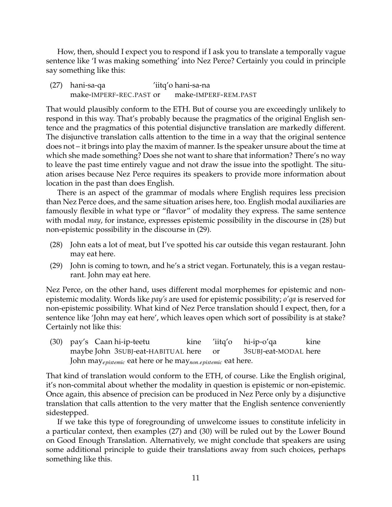How, then, should I expect you to respond if I ask you to translate a temporally vague sentence like 'I was making something' into Nez Perce? Certainly you could in principle say something like this:

(27) hani-sa-qa make-IMPERF-REC.PAST or 'iitq'o hani-sa-na make-IMPERF-REM.PAST

That would plausibly conform to the ETH. But of course you are exceedingly unlikely to respond in this way. That's probably because the pragmatics of the original English sentence and the pragmatics of this potential disjunctive translation are markedly different. The disjunctive translation calls attention to the time in a way that the original sentence does not – it brings into play the maxim of manner. Is the speaker unsure about the time at which she made something? Does she not want to share that information? There's no way to leave the past time entirely vague and not draw the issue into the spotlight. The situation arises because Nez Perce requires its speakers to provide more information about location in the past than does English.

There is an aspect of the grammar of modals where English requires less precision than Nez Perce does, and the same situation arises here, too. English modal auxiliaries are famously flexible in what type or "flavor" of modality they express. The same sentence with modal *may*, for instance, expresses epistemic possibility in the discourse in (28) but non-epistemic possibility in the discourse in (29).

- (28) John eats a lot of meat, but I've spotted his car outside this vegan restaurant. John may eat here.
- (29) John is coming to town, and he's a strict vegan. Fortunately, this is a vegan restaurant. John may eat here.

Nez Perce, on the other hand, uses different modal morphemes for epistemic and nonepistemic modality. Words like *pay's* are used for epistemic possibility; *o'qa* is reserved for non-epistemic possibility. What kind of Nez Perce translation should I expect, then, for a sentence like 'John may eat here', which leaves open which sort of possibility is at stake? Certainly not like this:

(30) pay's Caan hi-ip-teetu maybe John 3SUBJ-eat-HABITUAL here kine 'iitq'o or hi-ip-o'qa 3SUBJ-eat-MODAL here kine John may*epistemic* eat here or he may*non*.*epistemic* eat here.

That kind of translation would conform to the ETH, of course. Like the English original, it's non-commital about whether the modality in question is epistemic or non-epistemic. Once again, this absence of precision can be produced in Nez Perce only by a disjunctive translation that calls attention to the very matter that the English sentence conveniently sidestepped.

If we take this type of foregrounding of unwelcome issues to constitute infelicity in a particular context, then examples (27) and (30) will be ruled out by the Lower Bound on Good Enough Translation. Alternatively, we might conclude that speakers are using some additional principle to guide their translations away from such choices, perhaps something like this.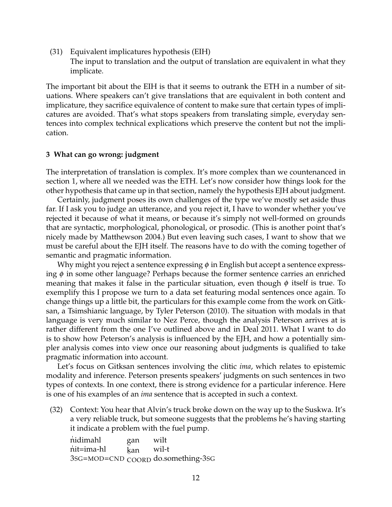(31) Equivalent implicatures hypothesis (EIH) The input to translation and the output of translation are equivalent in what they implicate.

The important bit about the EIH is that it seems to outrank the ETH in a number of situations. Where speakers can't give translations that are equivalent in both content and implicature, they sacrifice equivalence of content to make sure that certain types of implicatures are avoided. That's what stops speakers from translating simple, everyday sentences into complex technical explications which preserve the content but not the implication.

### **3 What can go wrong: judgment**

The interpretation of translation is complex. It's more complex than we countenanced in section 1, where all we needed was the ETH. Let's now consider how things look for the other hypothesis that came up in that section, namely the hypothesis EJH about judgment.

Certainly, judgment poses its own challenges of the type we've mostly set aside thus far. If I ask you to judge an utterance, and you reject it, I have to wonder whether you've rejected it because of what it means, or because it's simply not well-formed on grounds that are syntactic, morphological, phonological, or prosodic. (This is another point that's nicely made by Matthewson 2004.) But even leaving such cases, I want to show that we must be careful about the EJH itself. The reasons have to do with the coming together of semantic and pragmatic information.

Why might you reject a sentence expressing  $\phi$  in English but accept a sentence expressing  $\phi$  in some other language? Perhaps because the former sentence carries an enriched meaning that makes it false in the particular situation, even though  $\phi$  itself is true. To exemplify this I propose we turn to a data set featuring modal sentences once again. To change things up a little bit, the particulars for this example come from the work on Gitksan, a Tsimshianic language, by Tyler Peterson (2010). The situation with modals in that language is very much similar to Nez Perce, though the analysis Peterson arrives at is rather different from the one I've outlined above and in Deal 2011. What I want to do is to show how Peterson's analysis is influenced by the EJH, and how a potentially simpler analysis comes into view once our reasoning about judgments is qualified to take pragmatic information into account.

Let's focus on Gitksan sentences involving the clitic *ima*, which relates to epistemic modality and inference. Peterson presents speakers' judgments on such sentences in two types of contexts. In one context, there is strong evidence for a particular inference. Here is one of his examples of an *ima* sentence that is accepted in such a context.

(32) Context: You hear that Alvin's truck broke down on the way up to the Suskwa. It's a very reliable truck, but someone suggests that the problems he's having starting it indicate a problem with the fuel pump.

| nidimahl   | gan       | wilt                               |
|------------|-----------|------------------------------------|
| nit=ima-hl | kan wil-t |                                    |
|            |           | 3SG=MOD=CND COORD do.something-3SG |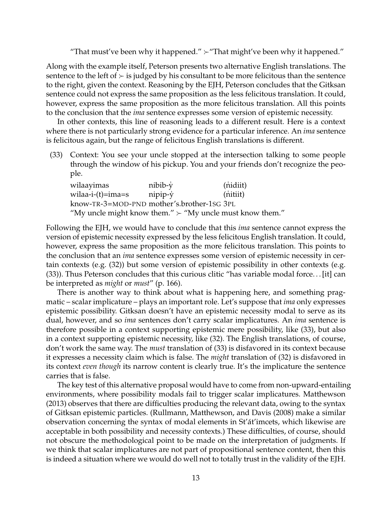"That must've been why it happened." ≻"That might've been why it happened."

Along with the example itself, Peterson presents two alternative English translations. The sentence to the left of  $\succ$  is judged by his consultant to be more felicitous than the sentence to the right, given the context. Reasoning by the EJH, Peterson concludes that the Gitksan sentence could not express the same proposition as the less felicitous translation. It could, however, express the same proposition as the more felicitous translation. All this points to the conclusion that the *ima* sentence expresses some version of epistemic necessity.

In other contexts, this line of reasoning leads to a different result. Here is a context where there is not particularly strong evidence for a particular inference. An *ima* sentence is felicitous again, but the range of felicitous English translations is different.

(33) Context: You see your uncle stopped at the intersection talking to some people through the window of his pickup. You and your friends don't recognize the people.

| wilaayimas                                                     | nibib-y             | (nidiit) |  |  |
|----------------------------------------------------------------|---------------------|----------|--|--|
| wilaa-i-(t)=ima=s                                              | $n$ ipip- $\dot{y}$ | (nitiit) |  |  |
| know-TR-3=MOD-PND mother's.brother-1sG 3PL                     |                     |          |  |  |
| "My uncle might know them." $\succ$ "My uncle must know them." |                     |          |  |  |

Following the EJH, we would have to conclude that this *ima* sentence cannot express the version of epistemic necessity expressed by the less felicitous English translation. It could, however, express the same proposition as the more felicitous translation. This points to the conclusion that an *ima* sentence expresses some version of epistemic necessity in certain contexts (e.g. (32)) but some version of epistemic possibility in other contexts (e.g. (33)). Thus Peterson concludes that this curious clitic "has variable modal force. . . [it] can be interpreted as *might* or *must*" (p. 166).

There is another way to think about what is happening here, and something pragmatic – scalar implicature – plays an important role. Let's suppose that *ima* only expresses epistemic possibility. Gitksan doesn't have an epistemic necessity modal to serve as its dual, however, and so *ima* sentences don't carry scalar implicatures. An *ima* sentence is therefore possible in a context supporting epistemic mere possibility, like (33), but also in a context supporting epistemic necessity, like (32). The English translations, of course, don't work the same way. The *must* translation of (33) is disfavored in its context because it expresses a necessity claim which is false. The *might* translation of (32) is disfavored in its context *even though* its narrow content is clearly true. It's the implicature the sentence carries that is false.

The key test of this alternative proposal would have to come from non-upward-entailing environments, where possibility modals fail to trigger scalar implicatures. Matthewson (2013) observes that there are difficulties producing the relevant data, owing to the syntax of Gitksan epistemic particles. (Rullmann, Matthewson, and Davis (2008) make a similar observation concerning the syntax of modal elements in St'át'imcets, which likewise are acceptable in both possibility and necessity contexts.) These difficulties, of course, should not obscure the methodological point to be made on the interpretation of judgments. If we think that scalar implicatures are not part of propositional sentence content, then this is indeed a situation where we would do well not to totally trust in the validity of the EJH.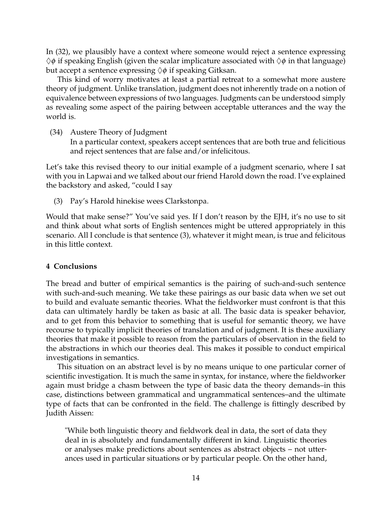In (32), we plausibly have a context where someone would reject a sentence expressing  $\Diamond\phi$  if speaking English (given the scalar implicature associated with  $\Diamond\phi$  in that language) but accept a sentence expressing  $\Diamond \phi$  if speaking Gitksan.

This kind of worry motivates at least a partial retreat to a somewhat more austere theory of judgment. Unlike translation, judgment does not inherently trade on a notion of equivalence between expressions of two languages. Judgments can be understood simply as revealing some aspect of the pairing between acceptable utterances and the way the world is.

(34) Austere Theory of Judgment

In a particular context, speakers accept sentences that are both true and felicitious and reject sentences that are false and/or infelicitous.

Let's take this revised theory to our initial example of a judgment scenario, where I sat with you in Lapwai and we talked about our friend Harold down the road. I've explained the backstory and asked, "could I say

(3) Pay's Harold hinekise wees Clarkstonpa.

Would that make sense?" You've said yes. If I don't reason by the EJH, it's no use to sit and think about what sorts of English sentences might be uttered appropriately in this scenario. All I conclude is that sentence (3), whatever it might mean, is true and felicitous in this little context.

## **4 Conclusions**

The bread and butter of empirical semantics is the pairing of such-and-such sentence with such-and-such meaning. We take these pairings as our basic data when we set out to build and evaluate semantic theories. What the fieldworker must confront is that this data can ultimately hardly be taken as basic at all. The basic data is speaker behavior, and to get from this behavior to something that is useful for semantic theory, we have recourse to typically implicit theories of translation and of judgment. It is these auxiliary theories that make it possible to reason from the particulars of observation in the field to the abstractions in which our theories deal. This makes it possible to conduct empirical investigations in semantics.

This situation on an abstract level is by no means unique to one particular corner of scientific investigation. It is much the same in syntax, for instance, where the fieldworker again must bridge a chasm between the type of basic data the theory demands–in this case, distinctions between grammatical and ungrammatical sentences–and the ultimate type of facts that can be confronted in the field. The challenge is fittingly described by Judith Aissen:

"While both linguistic theory and fieldwork deal in data, the sort of data they deal in is absolutely and fundamentally different in kind. Linguistic theories or analyses make predictions about sentences as abstract objects – not utterances used in particular situations or by particular people. On the other hand,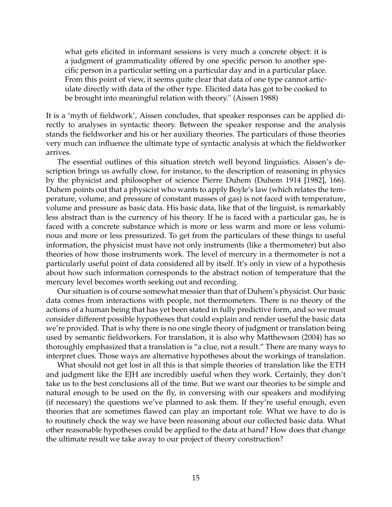what gets elicited in informant sessions is very much a concrete object: it is a judgment of grammaticality offered by one specific person to another specific person in a particular setting on a particular day and in a particular place. From this point of view, it seems quite clear that data of one type cannot articulate directly with data of the other type. Elicited data has got to be cooked to be brought into meaningful relation with theory." (Aissen 1988)

It is a 'myth of fieldwork', Aissen concludes, that speaker responses can be applied directly to analyses in syntactic theory. Between the speaker response and the analysis stands the fieldworker and his or her auxiliary theories. The particulars of those theories very much can influence the ultimate type of syntactic analysis at which the fieldworker arrives.

The essential outlines of this situation stretch well beyond linguistics. Aissen's description brings us awfully close, for instance, to the description of reasoning in physics by the physicist and philosopher of science Pierre Duhem (Duhem 1914 [1982], 166). Duhem points out that a physicist who wants to apply Boyle's law (which relates the temperature, volume, and pressure of constant masses of gas) is not faced with temperature, volume and pressure as basic data. His basic data, like that of the linguist, is remarkably less abstract than is the currency of his theory. If he is faced with a particular gas, he is faced with a concrete substance which is more or less warm and more or less voluminous and more or less pressurized. To get from the particulars of these things to useful information, the physicist must have not only instruments (like a thermometer) but also theories of how those instruments work. The level of mercury in a thermometer is not a particularly useful point of data considered all by itself. It's only in view of a hypothesis about how such information corresponds to the abstract notion of temperature that the mercury level becomes worth seeking out and recording.

Our situation is of course somewhat messier than that of Duhem's physicist. Our basic data comes from interactions with people, not thermometers. There is no theory of the actions of a human being that has yet been stated in fully predictive form, and so we must consider different possible hypotheses that could explain and render useful the basic data we're provided. That is why there is no one single theory of judgment or translation being used by semantic fieldworkers. For translation, it is also why Matthewson (2004) has so thoroughly emphasized that a translation is "a clue, not a result." There are many ways to interpret clues. Those ways are alternative hypotheses about the workings of translation.

What should not get lost in all this is that simple theories of translation like the ETH and judgment like the EJH are incredibly useful when they work. Certainly, they don't take us to the best conclusions all of the time. But we want our theories to be simple and natural enough to be used on the fly, in conversing with our speakers and modifying (if necessary) the questions we've planned to ask them. If they're useful enough, even theories that are sometimes flawed can play an important role. What we have to do is to routinely check the way we have been reasoning about our collected basic data. What other reasonable hypotheses could be applied to the data at hand? How does that change the ultimate result we take away to our project of theory construction?